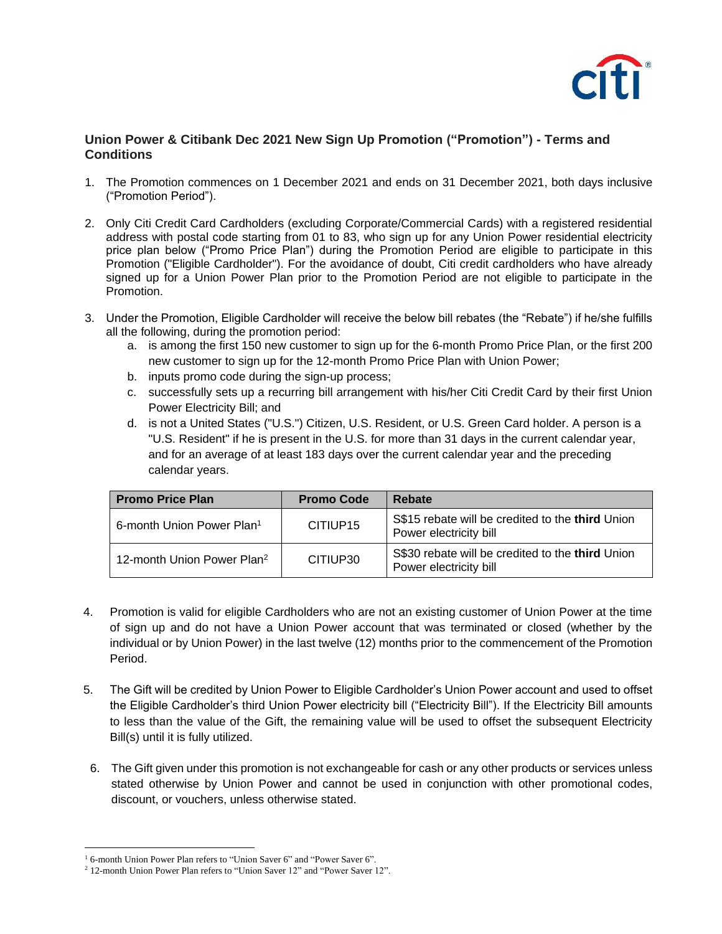

## **Union Power & Citibank Dec 2021 New Sign Up Promotion ("Promotion") - Terms and Conditions**

- 1. The Promotion commences on 1 December 2021 and ends on 31 December 2021, both days inclusive ("Promotion Period").
- 2. Only Citi Credit Card Cardholders (excluding Corporate/Commercial Cards) with a registered residential address with postal code starting from 01 to 83, who sign up for any Union Power residential electricity price plan below ("Promo Price Plan") during the Promotion Period are eligible to participate in this Promotion ("Eligible Cardholder"). For the avoidance of doubt, Citi credit cardholders who have already signed up for a Union Power Plan prior to the Promotion Period are not eligible to participate in the Promotion.
- 3. Under the Promotion, Eligible Cardholder will receive the below bill rebates (the "Rebate") if he/she fulfills all the following, during the promotion period:
	- a. is among the first 150 new customer to sign up for the 6-month Promo Price Plan, or the first 200 new customer to sign up for the 12-month Promo Price Plan with Union Power;
	- b. inputs promo code during the sign-up process;
	- c. successfully sets up a recurring bill arrangement with his/her Citi Credit Card by their first Union Power Electricity Bill; and
	- d. is not a United States ("U.S.") Citizen, U.S. Resident, or U.S. Green Card holder. A person is a "U.S. Resident" if he is present in the U.S. for more than 31 days in the current calendar year, and for an average of at least 183 days over the current calendar year and the preceding calendar years.

| <b>Promo Price Plan</b>                | <b>Promo Code</b> | Rebate                                                                     |
|----------------------------------------|-------------------|----------------------------------------------------------------------------|
| 6-month Union Power Plan <sup>1</sup>  | CITIUP15          | S\$15 rebate will be credited to the third Union<br>Power electricity bill |
| 12-month Union Power Plan <sup>2</sup> | CITIUP30          | S\$30 rebate will be credited to the third Union<br>Power electricity bill |

- 4. Promotion is valid for eligible Cardholders who are not an existing customer of Union Power at the time of sign up and do not have a Union Power account that was terminated or closed (whether by the individual or by Union Power) in the last twelve (12) months prior to the commencement of the Promotion Period.
- 5. The Gift will be credited by Union Power to Eligible Cardholder's Union Power account and used to offset the Eligible Cardholder's third Union Power electricity bill ("Electricity Bill"). If the Electricity Bill amounts to less than the value of the Gift, the remaining value will be used to offset the subsequent Electricity Bill(s) until it is fully utilized.
- 6. The Gift given under this promotion is not exchangeable for cash or any other products or services unless stated otherwise by Union Power and cannot be used in conjunction with other promotional codes, discount, or vouchers, unless otherwise stated.

<sup>&</sup>lt;sup>1</sup> 6-month Union Power Plan refers to "Union Saver 6" and "Power Saver 6".

<sup>&</sup>lt;sup>2</sup> 12-month Union Power Plan refers to "Union Saver 12" and "Power Saver 12".